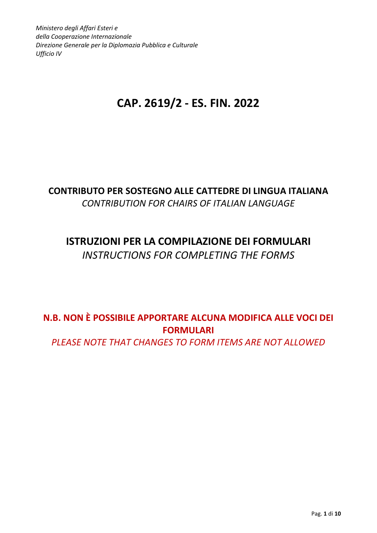Ministero degli Affari Esteri e della Cooperazione Internazionale Direzione Generale per la Diplomazia Pubblica e Culturale Ufficio IV

# CAP. 2619/2 - ES. FIN. 2022

## CONTRIBUTO PER SOSTEGNO ALLE CATTEDRE DI LINGUA ITALIANA CONTRIBUTION FOR CHAIRS OF ITALIAN LANGUAGE

# ISTRUZIONI PER LA COMPILAZIONE DEI FORMULARI INSTRUCTIONS FOR COMPLETING THE FORMS

# N.B. NON È POSSIBILE APPORTARE ALCUNA MODIFICA ALLE VOCI DEI FORMULARI

PLEASE NOTE THAT CHANGES TO FORM ITEMS ARE NOT ALLOWED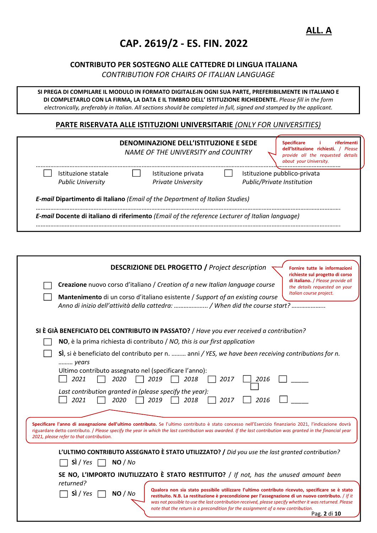# CAP. 2619/2 - ES. FIN. 2022

#### CONTRIBUTO PER SOSTEGNO ALLE CATTEDRE DI LINGUA ITALIANA

CONTRIBUTION FOR CHAIRS OF ITALIAN LANGUAGE

SI PREGA DI COMPILARE IL MODULO IN FORMATO DIGITALE IN OGNI SUA PARTE, PREFERIBILMENTE IN ITALIANO E DI COMPLETARLO CON LA FIRMA, LA DATA E IL TIMBRO DELL' ISTITUZIONE RICHIEDENTE. Please fill in the form electronically, preferably in Italian. All sections should be completed in full, signed and stamped by the applicant.

#### PARTE RISERVATA ALLE ISTITUZIONI UNIVERSITARIE (ONLY FOR UNIVERSITIES)

|                          | DENOMINAZIONE DELL'ISTITUZIONE E SEDE<br>NAME OF THE UNIVERSITY and COUNTRY                     | <b>Specificare</b><br>riferimenti<br>dell'Istituzione richiesti.<br>Please<br>provide all the requested details<br>about your University. |
|--------------------------|-------------------------------------------------------------------------------------------------|-------------------------------------------------------------------------------------------------------------------------------------------|
| Istituzione statale      | Istituzione privata                                                                             | Istituzione pubblico-privata                                                                                                              |
| <b>Public University</b> | <b>Private University</b>                                                                       | Public/Private Institution                                                                                                                |
|                          | <b>E-mail Dipartimento di Italiano</b> ( <i>Email of the Department of Italian Studies</i> )    |                                                                                                                                           |
|                          | E-mail Docente di italiano di riferimento (Email of the reference Lecturer of Italian language) |                                                                                                                                           |
|                          |                                                                                                 |                                                                                                                                           |

| <b>DESCRIZIONE DEL PROGETTO / Project description</b><br>Fornire tutte le informazioni<br>richieste sul progetto di corso<br>di italiano. / Please provide all<br>Creazione nuovo corso d'italiano / Creation of a new Italian language course<br>the details requested on your<br>Italian course project.<br>Mantenimento di un corso d'italiano esistente / Support of an existing course                                                              |
|----------------------------------------------------------------------------------------------------------------------------------------------------------------------------------------------------------------------------------------------------------------------------------------------------------------------------------------------------------------------------------------------------------------------------------------------------------|
| SI È GIÀ BENEFICIATO DEL CONTRIBUTO IN PASSATO? / Have you ever received a contribution?<br>NO, è la prima richiesta di contributo / NO, this is our first application                                                                                                                                                                                                                                                                                   |
| SÌ, si è beneficiato del contributo per n.  anni / YES, we have been receiving contributions for n.<br>years<br>Ultimo contributo assegnato nel (specificare l'anno):<br>2021<br>2020<br>2019<br>2018<br>2017<br>2016<br>Last contribution granted in (please specify the year):<br>2021<br>2020<br>2017<br>2016<br>2019<br>2018                                                                                                                         |
| Specificare l'anno di assegnazione dell'ultimo contributo. Se l'ultimo contributo è stato concesso nell'Esercizio finanziario 2021, l'indicazione dovrà<br>riguardare detto contributo. / Please specify the year in which the last contribution was awarded. If the last contribution was granted in the financial year<br>2021, please refer to that contribution.                                                                                     |
| L'ULTIMO CONTRIBUTO ASSEGNATO È STATO UTILIZZATO? / Did you use the last granted contribution?<br>Si / Yes<br>NO / No<br>SE NO, L'IMPORTO INUTILIZZATO È STATO RESTITUITO? / If not, has the unused amount been                                                                                                                                                                                                                                          |
| returned?<br>Qualora non sia stato possibile utilizzare l'ultimo contributo ricevuto, specificare se è stato<br>Si / Yes<br>NO / No<br>restituito. N.B. La restituzione è precondizione per l'assegnazione di un nuovo contributo. / If it<br>was not possible to use the last contribution received, please specify whether it was returned. Please<br>note that the return is a precondition for the assignment of a new contribution.<br>Pag. 2 di 10 |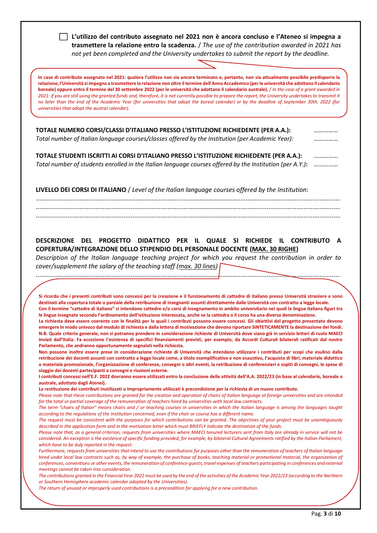| L'utilizzo del contributo assegnato nel 2021 non è ancora concluso e l'Ateneo si impegna a<br>trasmettere la relazione entro la scadenza. / The use of the contribution awarded in 2021 has<br>not yet been completed and the University undertakes to submit the report by the deadline.                                                                                                                                                                                                                                                                                                                                                                                                                                                                                                                                                                                                                                                                                                                                                                                                                                                                                                                                    |  |
|------------------------------------------------------------------------------------------------------------------------------------------------------------------------------------------------------------------------------------------------------------------------------------------------------------------------------------------------------------------------------------------------------------------------------------------------------------------------------------------------------------------------------------------------------------------------------------------------------------------------------------------------------------------------------------------------------------------------------------------------------------------------------------------------------------------------------------------------------------------------------------------------------------------------------------------------------------------------------------------------------------------------------------------------------------------------------------------------------------------------------------------------------------------------------------------------------------------------------|--|
| In caso di contributo assegnato nel 2021: qualora l'utilizzo non sia ancora terminato e, pertanto, non sia attualmente possibile predisporre la<br>relazione, l'Università si impegna a trasmettere la relazione non oltre il termine dell'Anno Accademico (per le università che adottano il calendario<br>boreale) oppure entro il termine del 30 settembre 2022 (per le università che adottano il calendario australe). / In the case of a grant awarded in<br>2021: if you are still using the granted funds and, therefore, it is not currently possible to prepare the report, the University undertakes to transmit it<br>no later than the end of the Academic Year (for universities that adopt the boreal calendar) or by the deadline of September 30th, 2022 (for<br>universities that adopt the austral calendar).                                                                                                                                                                                                                                                                                                                                                                                             |  |
| TOTALE NUMERO CORSI/CLASSI D'ITALIANO PRESSO L'ISTITUZIONE RICHIEDENTE (PER A.A.):<br>Total number of Italian language courses/classes offered by the Institution (per Academic Year):                                                                                                                                                                                                                                                                                                                                                                                                                                                                                                                                                                                                                                                                                                                                                                                                                                                                                                                                                                                                                                       |  |
| TOTALE STUDENTI ISCRITTI AI CORSI D'ITALIANO PRESSO L'ISTITUZIONE RICHIEDENTE (PER A.A.):<br>Total number of students enrolled in the Italian language courses offered by the Institution (per A.Y.):                                                                                                                                                                                                                                                                                                                                                                                                                                                                                                                                                                                                                                                                                                                                                                                                                                                                                                                                                                                                                        |  |
| LIVELLO DEI CORSI DI ITALIANO / Level of the Italian language courses offered by the Institution:                                                                                                                                                                                                                                                                                                                                                                                                                                                                                                                                                                                                                                                                                                                                                                                                                                                                                                                                                                                                                                                                                                                            |  |
|                                                                                                                                                                                                                                                                                                                                                                                                                                                                                                                                                                                                                                                                                                                                                                                                                                                                                                                                                                                                                                                                                                                                                                                                                              |  |
|                                                                                                                                                                                                                                                                                                                                                                                                                                                                                                                                                                                                                                                                                                                                                                                                                                                                                                                                                                                                                                                                                                                                                                                                                              |  |
| Description of the Italian language teaching project for which you request the contribution in order to<br>cover/supplement the salary of the teaching staff (max. 30 lines)                                                                                                                                                                                                                                                                                                                                                                                                                                                                                                                                                                                                                                                                                                                                                                                                                                                                                                                                                                                                                                                 |  |
| Si ricorda che i presenti contributi sono concessi per la creazione e il funzionamento di cattedre di italiano presso Università straniere e sono<br>destinati alla copertura totale o parziale della retribuzione di insegnanti assunti direttamente dalle Università con contratto a legge locale.<br>Con il termine "cattedre di italiano" si intendono cattedre e/o corsi di insegnamento in ambito universitario nei quali la lingua italiana figuri tra<br>le lingue insegnate secondo l'ordinamento dell'istituzione interessata, anche se la cattedra o il corso ha una diversa denominazione.<br>La richiesta deve essere coerente con le finalità per le quali i contributi possono essere concessi. Gli obiettivi del progetto presentato devono<br>emergere in modo univoco dal modulo di richiesta e dalla lettera di motivazione che devono riportare SINTETICAMENTE la destinazione dei fondi.<br>N.B. Quale criterio generale, non si potranno prendere in considerazione richieste di Università dove siano già in servizio lettori di ruolo MAECI<br>inviati dall'Italia. Fa eccezione l'esistenza di specifici finanziamenti previsti, per esempio, da Accordi Culturali bilaterali ratificati dal nostro |  |
| Parlamento, che andranno opportunamente segnalati nella richiesta.<br>Non possono inoltre essere prese in considerazione richieste di Università che intendano utilizzare i contributi per scopi che esulino dalla<br>retribuzione dei docenti assunti con contratto a legge locale come, a titolo esemplificativo e non esaustivo, l'acquisto di libri, materiale didattico                                                                                                                                                                                                                                                                                                                                                                                                                                                                                                                                                                                                                                                                                                                                                                                                                                                 |  |
| o materiale promozionale, l'organizzazione di conferenze, convegni o altri eventi, la retribuzione di conferenzieri e ospiti di convegni, le spese di<br>viaggio dei docenti partecipanti a convegni e riunioni esterne.<br>I contributi concessi nell'E.F. 2022 dovranno essere utilizzati entro la conclusione delle attività dell'A.A. 2022/23 (in base al calendario, boreale o                                                                                                                                                                                                                                                                                                                                                                                                                                                                                                                                                                                                                                                                                                                                                                                                                                          |  |
| australe, adottato dagli Atenei).<br>La restituzione dei contributi inutilizzati o impropriamente utilizzati è precondizione per la richiesta di un nuovo contributo.                                                                                                                                                                                                                                                                                                                                                                                                                                                                                                                                                                                                                                                                                                                                                                                                                                                                                                                                                                                                                                                        |  |
| Please note that these contributions are granted for the creation and operation of chairs of Italian language at foreign universities and are intended<br>for the total or partial coverage of the remuneration of teachers hired by universities with local law contracts.<br>The term "chairs of Italian" means chairs and / or teaching courses in universities in which the Italian language is among the languages taught                                                                                                                                                                                                                                                                                                                                                                                                                                                                                                                                                                                                                                                                                                                                                                                               |  |
| according to the regulations of the institution concerned, even if the chair or course has a different name.<br>The request must be consistent with the purposes for which contributions can be granted. The objectives of your project must be unambiguously<br>described in the application form and in the motivation letter which must BRIEFLY indicate the destination of the funds.                                                                                                                                                                                                                                                                                                                                                                                                                                                                                                                                                                                                                                                                                                                                                                                                                                    |  |
| Please note that, as a general criterion, requests from universities where MAECI tenured lecturers sent from Italy are already in service will not be<br>considered. An exception is the existence of specific funding provided, for example, by bilateral Cultural Agreements ratified by the Italian Parliament,<br>which have to be duly reported in the request.                                                                                                                                                                                                                                                                                                                                                                                                                                                                                                                                                                                                                                                                                                                                                                                                                                                         |  |
| Furthermore, requests from universities that intend to use the contributions for purposes other than the remuneration of teachers of Italian language<br>hired under local law contracts such as, by way of example, the purchase of books, teaching material or promotional material, the organization of<br>conferences, conventions or other events, the remuneration of conference quests, travel expenses of teachers participating in conferences and external                                                                                                                                                                                                                                                                                                                                                                                                                                                                                                                                                                                                                                                                                                                                                         |  |
| meetings cannot be taken into consideration.<br>The contributions granted in the Financial Year 2022 must be used by the end of the activities of the Academic Year 2022/23 (according to the Northern<br>or Southern Hemisphere academic calendar adopted by the Universities).                                                                                                                                                                                                                                                                                                                                                                                                                                                                                                                                                                                                                                                                                                                                                                                                                                                                                                                                             |  |
| The return of unused or improperly used contributions is a precondition for applying for a new contribution.                                                                                                                                                                                                                                                                                                                                                                                                                                                                                                                                                                                                                                                                                                                                                                                                                                                                                                                                                                                                                                                                                                                 |  |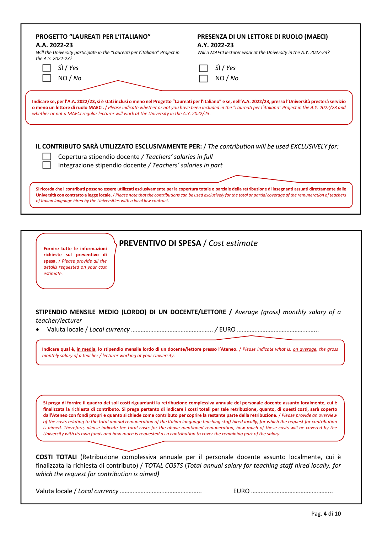| <b>PROGETTO "LAUREATI PER L'ITALIANO"</b><br>A.A. 2022-23<br>Will the University participate in the "Laureati per l'italiano" Project in<br>the A.Y. 2022-23? | PRESENZA DI UN LETTORE DI RUOLO (MAECI)<br>A.Y. 2022-23<br>Will a MAECI lecturer work at the University in the A.Y. 2022-23?                                                                                                                                                                                                                                                                                                         |
|---------------------------------------------------------------------------------------------------------------------------------------------------------------|--------------------------------------------------------------------------------------------------------------------------------------------------------------------------------------------------------------------------------------------------------------------------------------------------------------------------------------------------------------------------------------------------------------------------------------|
| Sì / Yes                                                                                                                                                      | Sì / Yes                                                                                                                                                                                                                                                                                                                                                                                                                             |
| NO / No                                                                                                                                                       | NO / No                                                                                                                                                                                                                                                                                                                                                                                                                              |
| whether or not a MAECI regular lecturer will work at the University in the A.Y. 2022/23.<br>Copertura stipendio docente / Teachers' salaries in full          | Indicare se, per l'A.A. 2022/23, si è stati inclusi o meno nel Progetto "Laureati per l'italiano" e se, nell'A.A. 2022/23, presso l'Università presterà servizio<br>o meno un lettore di ruolo MAECI. / Please indicate whether or not you have been included in the "Laureati per l'italiano" Project in the A.Y. 2022/23 and<br>IL CONTRIBUTO SARÀ UTILIZZATO ESCLUSIVAMENTE PER: / The contribution will be used EXCLUSIVELY for: |
| Integrazione stipendio docente / Teachers' salaries in part                                                                                                   |                                                                                                                                                                                                                                                                                                                                                                                                                                      |
| of Italian language hired by the Universities with a local law contract.                                                                                      | Si ricorda che i contributi possono essere utilizzati esclusivamente per la copertura totale o parziale della retribuzione di insegnanti assunti direttamente dalle<br>Università con contratto a legge locale. / Please note that the contributions can be used exclusively for the total or partial coverage of the remuneration of teachers                                                                                       |
|                                                                                                                                                               |                                                                                                                                                                                                                                                                                                                                                                                                                                      |
| Fornire tutte le informazioni                                                                                                                                 | <b>PREVENTIVO DI SPESA / Cost estimate</b>                                                                                                                                                                                                                                                                                                                                                                                           |

spesa. / Please provide all the details requested on your cost estimate.

richieste sul preventivo di

STIPENDIO MENSILE MEDIO (LORDO) DI UN DOCENTE/LETTORE / Average (gross) monthly salary of a teacher/lecturer

Valuta locale / Local currency …………………………………………... / EURO …………………………………………...

Indicare qual è, in media, lo stipendio mensile lordo di un docente/lettore presso l'Ateneo. / Please indicate what is, on average, the gross monthly salary of a teacher / lecturer working at your University.

Si prega di fornire il quadro dei soli costi riguardanti la retribuzione complessiva annuale del personale docente assunto localmente, cui è finalizzata la richiesta di contributo. Si prega pertanto di indicare i costi totali per tale retribuzione, quanto, di questi costi, sarà coperto dall'Ateneo con fondi propri e quanto si chiede come contributo per coprire la restante parte della retribuzione. / Please provide an overview of the costs relating to the total annual remuneration of the Italian language teaching staff hired locally, for which the request for contribution is aimed. Therefore, please indicate the total costs for the above-mentioned remuneration, how much of these costs will be covered by the University with its own funds and how much is requested as a contribution to cover the remaining part of the salary.

COSTI TOTALI (Retribuzione complessiva annuale per il personale docente assunto localmente, cui è finalizzata la richiesta di contributo) / TOTAL COSTS (Total annual salary for teaching staff hired locally, for which the request for contribution is aimed)

Valuta locale / Local currency …………………………………………... EURO …………………………………………...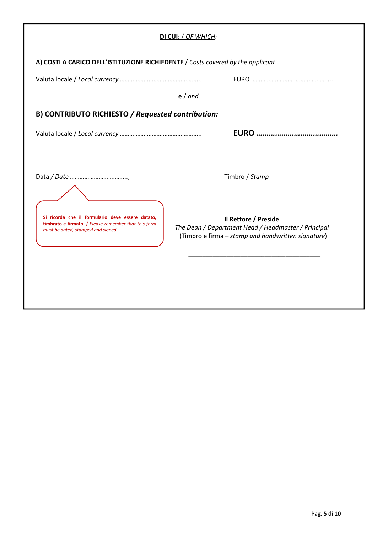|                                                                                                                                                | DI CUI: / OF WHICH:                                                                                                               |
|------------------------------------------------------------------------------------------------------------------------------------------------|-----------------------------------------------------------------------------------------------------------------------------------|
| A) COSTI A CARICO DELL'ISTITUZIONE RICHIEDENTE / Costs covered by the applicant                                                                |                                                                                                                                   |
|                                                                                                                                                |                                                                                                                                   |
|                                                                                                                                                | $e/$ and                                                                                                                          |
| B) CONTRIBUTO RICHIESTO / Requested contribution:                                                                                              |                                                                                                                                   |
|                                                                                                                                                |                                                                                                                                   |
|                                                                                                                                                |                                                                                                                                   |
|                                                                                                                                                | Timbro / Stamp                                                                                                                    |
| Si ricorda che il formulario deve essere datato,<br>timbrato e firmato. / Please remember that this form<br>must be dated, stamped and signed. | Il Rettore / Preside<br>The Dean / Department Head / Headmaster / Principal<br>(Timbro e firma - stamp and handwritten signature) |
|                                                                                                                                                |                                                                                                                                   |
|                                                                                                                                                |                                                                                                                                   |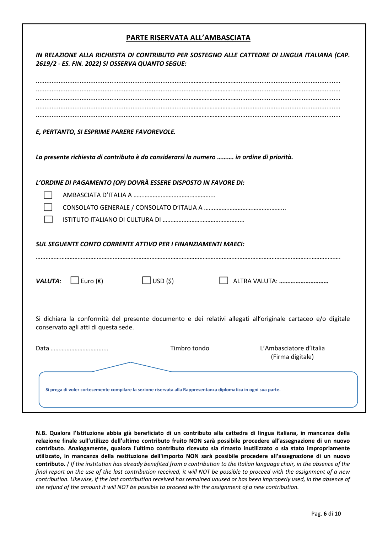#### PARTE RISERVATA ALL'AMBASCIATA

|                                      | 2619/2 - ES. FIN. 2022) SI OSSERVA QUANTO SEGUE:                                                                 | IN RELAZIONE ALLA RICHIESTA DI CONTRIBUTO PER SOSTEGNO ALLE CATTEDRE DI LINGUA ITALIANA (CAP.                |
|--------------------------------------|------------------------------------------------------------------------------------------------------------------|--------------------------------------------------------------------------------------------------------------|
|                                      |                                                                                                                  |                                                                                                              |
|                                      |                                                                                                                  |                                                                                                              |
|                                      | E, PERTANTO, SI ESPRIME PARERE FAVOREVOLE.                                                                       |                                                                                                              |
|                                      | La presente richiesta di contributo è da considerarsi la numero  in ordine di priorità.                          |                                                                                                              |
|                                      | L'ORDINE DI PAGAMENTO (OP) DOVRÀ ESSERE DISPOSTO IN FAVORE DI:                                                   |                                                                                                              |
|                                      |                                                                                                                  |                                                                                                              |
|                                      |                                                                                                                  |                                                                                                              |
|                                      |                                                                                                                  |                                                                                                              |
|                                      | <b>SUL SEGUENTE CONTO CORRENTE ATTIVO PER I FINANZIAMENTI MAECI:</b>                                             |                                                                                                              |
| <b>VALUTA:</b> $\Box$ Euro (€)       | $\Box$ USD (\$)                                                                                                  | ALTRA VALUTA:                                                                                                |
| conservato agli atti di questa sede. |                                                                                                                  | Si dichiara la conformità del presente documento e dei relativi allegati all'originale cartaceo e/o digitale |
|                                      | Timbro tondo                                                                                                     | L'Ambasciatore d'Italia<br>(Firma digitale)                                                                  |
|                                      | Si prega di voler cortesemente compilare la sezione riservata alla Rappresentanza diplomatica in ogni sua parte. |                                                                                                              |

N.B. Qualora l'Istituzione abbia già beneficiato di un contributo alla cattedra di lingua italiana, in mancanza della relazione finale sull'utilizzo dell'ultimo contributo fruito NON sarà possibile procedere all'assegnazione di un nuovo contributo. Analogamente, qualora l'ultimo contributo ricevuto sia rimasto inutilizzato o sia stato impropriamente utilizzato, in mancanza della restituzione dell'importo NON sarà possibile procedere all'assegnazione di un nuovo contributo. / If the institution has already benefited from a contribution to the Italian language chair, in the absence of the final report on the use of the last contribution received, it will NOT be possible to proceed with the assignment of a new contribution. Likewise, if the last contribution received has remained unused or has been improperly used, in the absence of the refund of the amount it will NOT be possible to proceed with the assignment of a new contribution.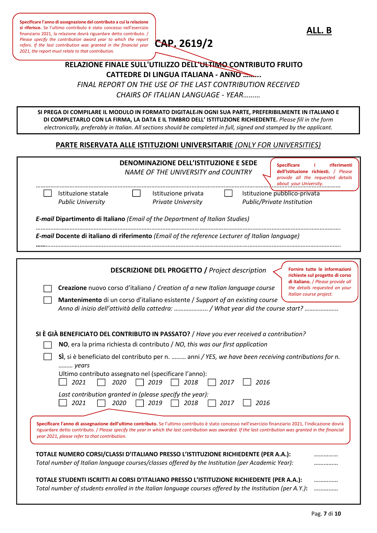Please specify the contribution award year to which the report  $\text{CAP. 2619/2}$ Specificare l'anno di assegnazione del contributo a cui la relazione si riferisce. Se l'ultimo contributo è stato concesso nell'esercizio finanziario 2021, la relazione dovrà riguardare detto contributo. /<br>Please specify the contribution award year to which the report refers. If the last contribution was granted in the financial year 2021, the report must relate to that contribution.



ALL. B

### RELAZIONE FINALE SULL'UTILIZZO DELL'ULTIMO CONTRIBUTO FRUITO CATTEDRE DI LINGUA ITALIANA - ANNO ……... FINAL REPORT ON THE USE OF THE LAST CONTRIBUTION RECEIVED

CHAIRS OF ITALIAN LANGUAGE - YEAR………

SI PREGA DI COMPILARE IL MODULO IN FORMATO DIGITALE IN OGNI SUA PARTE, PREFERIBILMENTE IN ITALIANO E DI COMPLETARLO CON LA FIRMA, LA DATA E IL TIMBRO DELL' ISTITUZIONE RICHIEDENTE. Please fill in the form electronically, preferably in Italian. All sections should be completed in full, signed and stamped by the applicant.

#### PARTE RISERVATA ALLE ISTITUZIONI UNIVERSITARIE (ONLY FOR UNIVERSITIES)

|                                                                                                                                                                                        |      | DENOMINAZIONE DELL'ISTITUZIONE E SEDE<br>NAME OF THE UNIVERSITY and COUNTRY |      |      | <b>Specificare</b><br>riferimenti<br>dell'Istituzione richiesti. / Please<br>provide all the requested details<br>about your University.                                                                                                                                                                            |
|----------------------------------------------------------------------------------------------------------------------------------------------------------------------------------------|------|-----------------------------------------------------------------------------|------|------|---------------------------------------------------------------------------------------------------------------------------------------------------------------------------------------------------------------------------------------------------------------------------------------------------------------------|
| Istituzione statale<br><b>Public University</b>                                                                                                                                        |      | Istituzione privata<br><b>Private University</b>                            |      |      | Istituzione pubblico-privata<br>Public/Private Institution                                                                                                                                                                                                                                                          |
| <b>E-mail Dipartimento di Italiano</b> ( <i>Email of the Department of Italian Studies</i> )                                                                                           |      |                                                                             |      |      |                                                                                                                                                                                                                                                                                                                     |
| E-mail Docente di italiano di riferimento (Email of the reference Lecturer of Italian language)                                                                                        |      |                                                                             |      |      |                                                                                                                                                                                                                                                                                                                     |
|                                                                                                                                                                                        |      |                                                                             |      |      |                                                                                                                                                                                                                                                                                                                     |
|                                                                                                                                                                                        |      | <b>DESCRIZIONE DEL PROGETTO / Project description</b>                       |      |      | Fornire tutte le informazioni<br>richieste sul progetto di corso<br>di italiano. / Please provide all                                                                                                                                                                                                               |
| Creazione nuovo corso d'italiano / Creation of a new Italian language course                                                                                                           |      |                                                                             |      |      | the details requested on your<br>Italian course project.                                                                                                                                                                                                                                                            |
| Mantenimento di un corso d'italiano esistente / Support of an existing course                                                                                                          |      |                                                                             |      |      | Anno di inizio dell'attività della cattedra:  / What year did the course start?                                                                                                                                                                                                                                     |
|                                                                                                                                                                                        |      |                                                                             |      |      |                                                                                                                                                                                                                                                                                                                     |
|                                                                                                                                                                                        |      |                                                                             |      |      |                                                                                                                                                                                                                                                                                                                     |
|                                                                                                                                                                                        |      |                                                                             |      |      |                                                                                                                                                                                                                                                                                                                     |
| SI È GIÀ BENEFICIATO DEL CONTRIBUTO IN PASSATO? / Have you ever received a contribution?<br>NO, era la prima richiesta di contributo / NO, this was our first application              |      |                                                                             |      |      |                                                                                                                                                                                                                                                                                                                     |
|                                                                                                                                                                                        |      |                                                                             |      |      | S), si è beneficiato del contributo per n.  anni / YES, we have been receiving contributions for n.                                                                                                                                                                                                                 |
| years                                                                                                                                                                                  |      |                                                                             |      |      |                                                                                                                                                                                                                                                                                                                     |
| Ultimo contributo assegnato nel (specificare l'anno):<br>2021                                                                                                                          | 2020 | 2019<br>2018                                                                | 2017 | 2016 |                                                                                                                                                                                                                                                                                                                     |
| Last contribution granted in (please specify the year):<br>2021                                                                                                                        | 2020 | 2019<br>2018                                                                | 2017 | 2016 |                                                                                                                                                                                                                                                                                                                     |
|                                                                                                                                                                                        |      |                                                                             |      |      |                                                                                                                                                                                                                                                                                                                     |
| year 2021, please refer to that contribution.                                                                                                                                          |      |                                                                             |      |      | Specificare l'anno di assegnazione dell'ultimo contributo. Se l'ultimo contributo è stato concesso nell'esercizio finanziario 2021, l'indicazione dovrà<br>riguardare detto contributo. / Please specify the year in which the last contribution was awarded. If the last contribution was granted in the financial |
|                                                                                                                                                                                        |      |                                                                             |      |      |                                                                                                                                                                                                                                                                                                                     |
| TOTALE NUMERO CORSI/CLASSI D'ITALIANO PRESSO L'ISTITUZIONE RICHIEDENTE (PER A.A.):<br>Total number of Italian language courses/classes offered by the Institution (per Academic Year): |      |                                                                             |      |      |                                                                                                                                                                                                                                                                                                                     |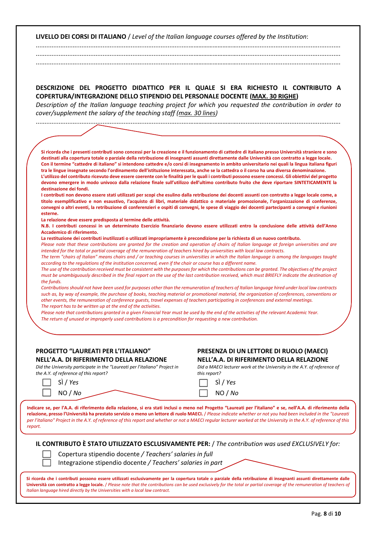LIVELLO DEI CORSI DI ITALIANO / Level of the Italian language courses offered by the Institution:

.......................................................................................…………………………........................................................... .......................................................................................…………………………...........................................................

| DESCRIZIONE DEL PROGETTO DIDATTICO PER IL QUALE SI ERA RICHIESTO IL CONTRIBUTO A                          |  |  |  |  |  |  |
|-----------------------------------------------------------------------------------------------------------|--|--|--|--|--|--|
|                                                                                                           |  |  |  |  |  |  |
| <b>COPERTURA/INTEGRAZIONE DELLO STIPENDIO DEL PERSONALE DOCENTE (MAX. 30 RIGHE)</b>                       |  |  |  |  |  |  |
| Description of the Italian language teaching project for which you requested the contribution in order to |  |  |  |  |  |  |

.......................................................................................…………………………...........................................................

Si ricorda che i presenti contributi sono concessi per la creazione e il funzionamento di cattedre di italiano presso Università straniere e sono destinati alla copertura totale o parziale della retribuzione di insegnanti assunti direttamente dalle Università con contratto a legge locale. Con il termine "cattedre di italiano" si intendono cattedre e/o corsi di insegnamento in ambito universitario nei quali la lingua italiana figuri tra le lingue insegnate secondo l'ordinamento dell'istituzione interessata, anche se la cattedra o il corso ha una diversa denominazione. L'utilizzo del contributo ricevuto deve essere coerente con le finalità per le quali i contributi possono essere concessi. Gli obiettivi del progetto devono emergere in modo univoco dalla relazione finale sull'utilizzo dell'ultimo contributo fruito che deve riportare SINTETICAMENTE la destinazione dei fondi. I contributi non devono essere stati utilizzati per scopi che esulino dalla retribuzione dei docenti assunti con contratto a legge locale come, a titolo esemplificativo e non esaustivo, l'acquisto di libri, materiale didattico o materiale promozionale, l'organizzazione di conferenze, convegni o altri eventi, la retribuzione di conferenzieri e ospiti di convegni, le spese di viaggio dei docenti partecipanti a convegni e riunioni esterne.

La relazione deve essere predisposta al termine delle attività.

cover/supplement the salary of the teaching staff (max. 30 lines)

N.B. I contributi concessi in un determinato Esercizio finanziario devono essere utilizzati entro la conclusione delle attività dell'Anno Accademico di riferimento.

La restituzione dei contributi inutilizzati o utilizzati impropriamente è precondizione per la richiesta di un nuovo contributo.

Please note that these contributions are granted for the creation and operation of chairs of Italian language at foreign universities and are intended for the total or partial coverage of the remuneration of teachers hired by universities with local law contracts.

The term "chairs of Italian" means chairs and / or teaching courses in universities in which the Italian language is among the languages taught according to the regulations of the institution concerned, even if the chair or course has a different name.

The use of the contribution received must be consistent with the purposes for which the contributions can be granted. The objectives of the project must be unambiguously described in the final report on the use of the last contribution received, which must BRIEFLY indicate the destination of the funds.

Contributions should not have been used for purposes other than the remuneration of teachers of Italian language hired under local law contracts such as, by way of example, the purchase of books, teaching material or promotional material, the organization of conferences, conventions or other events, the remuneration of conference guests, travel expenses of teachers participating in conferences and external meetings. The report has to be written up at the end of the activities.

Please note that contributions granted in a given Financial Year must be used by the end of the activities of the relevant Academic Year. The return of unused or improperly used contributions is a precondition for requesting a new contribution.

#### PROGETTO "LAUREATI PER L'ITALIANO" PRESENZA DI UN LETTORE DI RUOLO (MAECI) NELL'A.A. DI RIFERIMENTO DELLA RELAZIONE NELL'A.A. DI RIFERIMENTO DELLA RELAZIONE

Did the University participate in the "Laureati per l'italiano" Project in Did a MAECI lecturer work at the University in the A.Y. of reference of the A.Y. of reference of this report? the A.Y. of reference of this report?

| ∃ | SÌ / Ye. |  |
|---|----------|--|
| ] | NO / M   |  |

 $\Box$  Sì/Yes  $\sqrt{10}$  NO / No  $\sqrt{10}$  NO / No

Indicare se, per l'A.A. di riferimento della relazione, si era stati inclusi o meno nel Progetto "Laureati per l'italiano" e se, nell'A.A. di riferimento della relazione, presso l'Università ha prestato servizio o meno un lettore di ruolo MAECI. / Please indicate whether or not you had been included in the "Laureati per l'italiano" Project in the A.Y. of reference of this report and whether or not a MAECI regular lecturer worked at the University in the A.Y. of reference of this report.

| I <b>L CONTRIBUTO È STATO UTILIZZATO ESCLUSIVAMENTE PER:</b> / The contribution was used EXCLUSIVELY for: |  |
|-----------------------------------------------------------------------------------------------------------|--|
|-----------------------------------------------------------------------------------------------------------|--|



Copertura stipendio docente / Teachers' salaries in full Integrazione stipendio docente / Teachers' salaries in part

Si ricorda che i contributi possono essere utilizzati esclusivamente per la copertura totale o parziale della retribuzione di insegnanti assunti direttamente dalle Università con contratto a legge locale. / Please note that the contributions can be used exclusively for the total or partial coverage of the remuneration of teachers of Italian language hired directly by the Universities with a local law contract.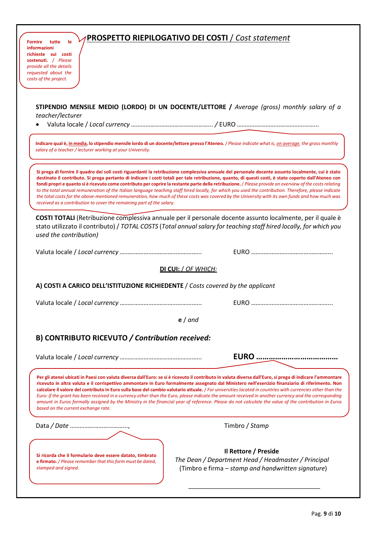### PROSPETTO RIEPILOGATIVO DEI COSTI / Cost statement

STIPENDIO MENSILE MEDIO (LORDO) DI UN DOCENTE/LETTORE / Average (gross) monthly salary of a teacher/lecturer

Valuta locale / Local currency …………………………………………... / EURO …………………………………………...

Indicare qual è, in media, lo stipendio mensile lordo di un docente/lettore presso l'Ateneo. / Please indicate what is, on average, the gross monthly salary of a teacher / lecturer working at your University.

Si prega di fornire il quadro dei soli costi riguardanti la retribuzione complessiva annuale del personale docente assunto localmente, cui è stato destinato il contributo. Si prega pertanto di indicare i costi totali per tale retribuzione, quanto, di questi costi, è stato coperto dall'Ateneo con fondi propri e quanto si è ricevuto come contributo per coprire la restante parte della retribuzione. / Please provide an overview of the costs relating to the total annual remuneration of the Italian language teaching staff hired locally, for which you used the contribution. Therefore, please indicate the total costs for the above-mentioned remuneration, how much of these costs was covered by the University with its own funds and how much was received as a contribution to cover the remaining part of the salary.

COSTI TOTALI (Retribuzione complessiva annuale per il personale docente assunto localmente, per il quale è stato utilizzato il contributo) / TOTAL COSTS (Total annual salary for teaching staff hired locally, for which you used the contribution)

Valuta locale / Local currency …………………………………………... EURO …………………………………………...

# DI CUI: / OF WHICH:

A) COSTI A CARICO DELL'ISTITUZIONE RICHIEDENTE / Costs covered by the applicant

Valuta locale / Local currency …………………………………………... EURO …………………………………………...

e / and

#### B) CONTRIBUTO RICEVUTO / Contribution received:

Valuta locale / Local currency …………………………………………... EURO …………………………………

Per gli atenei ubicati in Paesi con valuta diversa dall'Euro: se si è ricevuto il contributo in valuta diversa dall'Euro, si prega di indicare l'ammontare ricevuto in altra valuta e il corrispettivo ammontare in Euro formalmente assegnato dal Ministero nell'esercizio finanziario di riferimento. Non calcolare il valore del contributo in Euro sulla base del cambio valutario attuale. / For universities located in countries with currencies other than the Euro: if the grant has been received in a currency other than the Euro, please indicate the amount received in another currency and the corresponding amount in Euros formally assigned by the Ministry in the financial year of reference. Please do not calculate the value of the contribution in Euros based on the current exchange rate.

\_\_\_\_\_\_\_\_\_\_\_\_\_\_\_\_\_\_\_\_\_\_\_\_\_\_\_\_\_\_\_\_\_\_\_\_\_\_

Data / Date ……………………………..., Timbro / Stamp

Si ricorda che il formulario deve essere datato, timbrato e firmato. / Please remember that this form must be dated, stamped and signed.

Il Rettore / Preside

 The Dean / Department Head / Headmaster / Principal (Timbro e firma – stamp and handwritten signature)